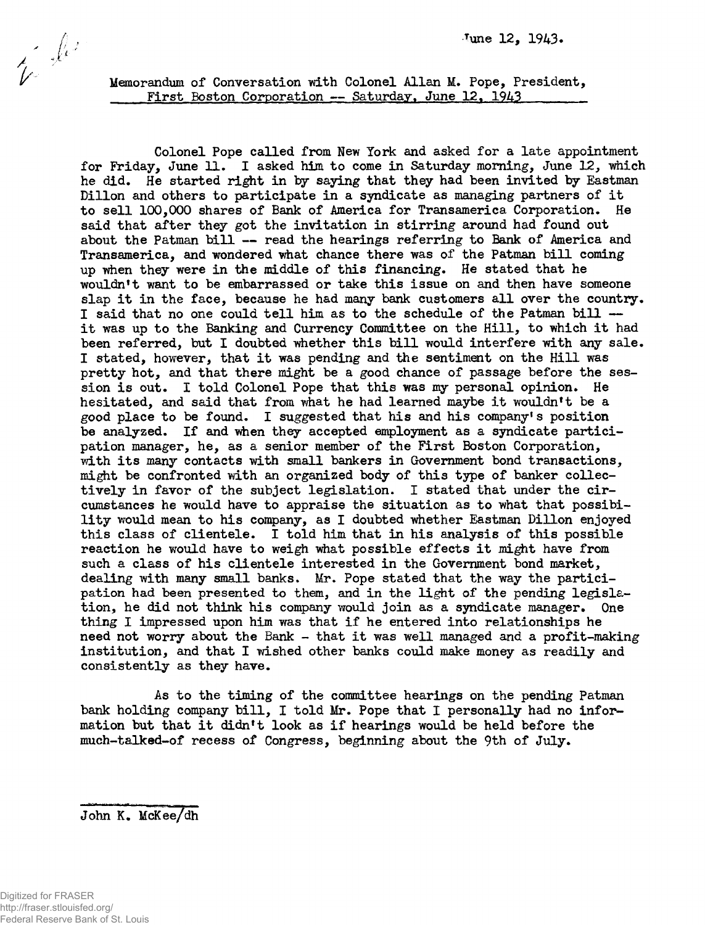Colonel Pope called from New York and asked for a late appointment for Friday, June 11. I asked him to come in Saturday morning, June 12, which he did. He started right in *by saying* that they had been invited *by* Eastman Dillon and others to participate in a syndicate as managing partners of it to sell 100,000 shares of Bank of America for Transamerica Corporation. He said that after they got the invitation in stirring around had found out about the Patman bill — read the hearings referring to Bank of America and Transamerica, and wondered what chance there was of the Patman bill coming up when they were in the middle of this financing. He stated that he wouldn't want to be embarrassed or take this issue on and then have someone slap it in the face, because he had many bank customers all over the country. I said that no one could tell him as to the schedule of the Patman bill it was up to the Banking and Currency Committee on the Hill, to which it had been referred, but I doubted whether this bill would interfere with any sale. I stated, however, that it was pending and the sentiment on the Hill was pretty hot, and that there might be a good chance of passage before the session is out. I told Colonel Pope that this was my personal opinion. He hesitated, and said that from what he had learned maybe it wouldn't be a good place to be found. I suggested that his and his company's position be analyzed. If and when they accepted employment as a syndicate participation manager, he, as a senior member of the First Boston Corporation, with its many contacts with small bankers in Government bond transactions, might be confronted with an organized body of this type of banker collectively in favor of the subject legislation. I stated that under the circumstances he would have to appraise the situation as to what that possibility would mean to his company, as I doubted whether Eastman Dillon enjoyed this class of clientele. I told him that in his analysis of this possible reaction he would have to weigh what possible effects it might have from such a class of his clientele interested in the Government bond market, dealing with many small banks. Mr. Pope stated that the way the participation had been presented to them, and in the light of the pending legislation, he did not think his company would join as a syndicate manager. One thing I impressed upon him was that if he entered into relationships he need not worry about the Bank - that it was well managed and a profit-making institution, and that I wished other banks could make money as readily and consistently as they have.

As to the timing of the committee hearings on the pending Patman bank holding company bill, I told Mr. Pope that I personally had no information but that it didn't look as if hearings would be held before the much-talked-of recess of Congress, beginning about the 9th of July.

John K. McKee/dh

 $i^*$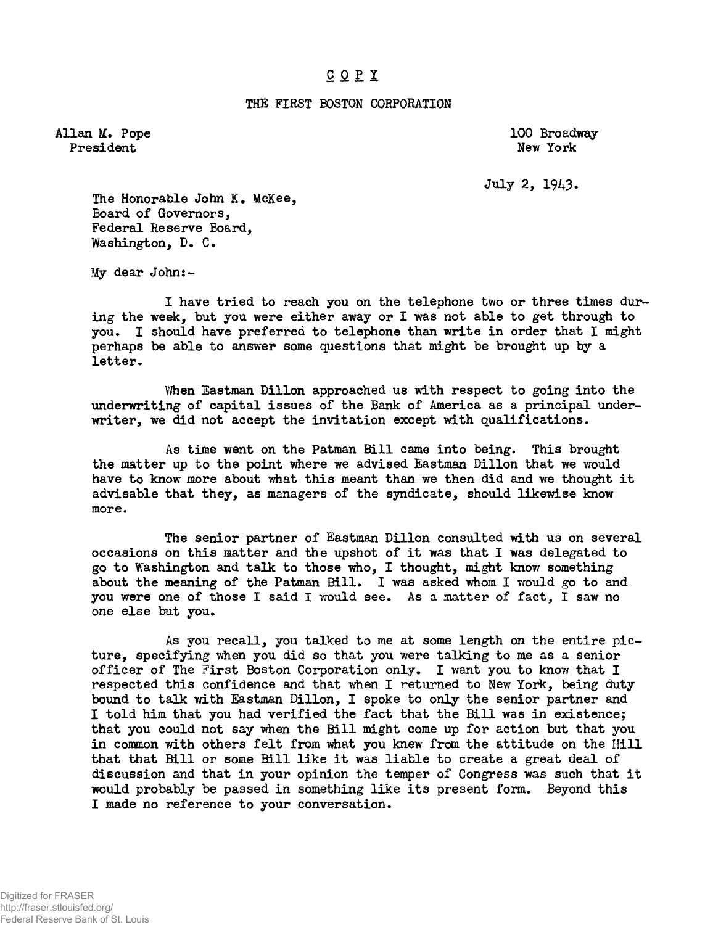## COP Y

## THE FIRST BOSTON CORPORATION

Allan M. Pope 100 Broadway President New York and New York and New York and New York and New York and New York and New York and New York

July 2, 1943-

The Honorable John K. McKee, Board of Governors, Federal Reserve Board, Washington, D. C.

My dear John:-

I have tried to reach you on the telephone two or three times during the week, but you were either away or I was not able to get through to you. I should have preferred to telephone than write in order that I might perhaps be able to answer some questions that might be brought up by a letter.

When Eastman Dillon approached us with respect to going into the underwriting of capital issues of the Bank of America as a principal underwriter, we did not accept the invitation except with qualifications.

As time went on the Patman Bill came into being. This brought the matter up to the point where we advised Eastman Dillon that we would have to know more about what this meant than we then did and we thought it advisable that they, as managers of the syndicate, should likewise know more.

The senior partner of Eastman Dillon consulted with us on several occasions on this matter and the upshot of it was that I was delegated to go to Washington and talk to those who, I thought, might know something about the meaning of the Patman Bill. I was asked whom I would go to and you were one of those I said I would see. As a matter of fact, I saw no one else but you.

As you recall, you talked to me at some length on the entire picture, specifying when you did so that you were talking to me as a senior officer of The First Boston Corporation only. I want you to know that I respected this confidence and that when I returned to New York, being duty bound to talk with Eastman Dillon, I spoke to only the senior partner and I told him that you had verified the fact that the Bill was in existence; that you could not say when the Bill might come up for action but that you in common with others felt from what you knew from, the attitude on the Hill that that Bill or some Bill like it was liable to create a great deal of discussion and that in your opinion the temper of Congress was such that it would probably be passed in something like its present form. Beyond this I made no reference to your conversation.